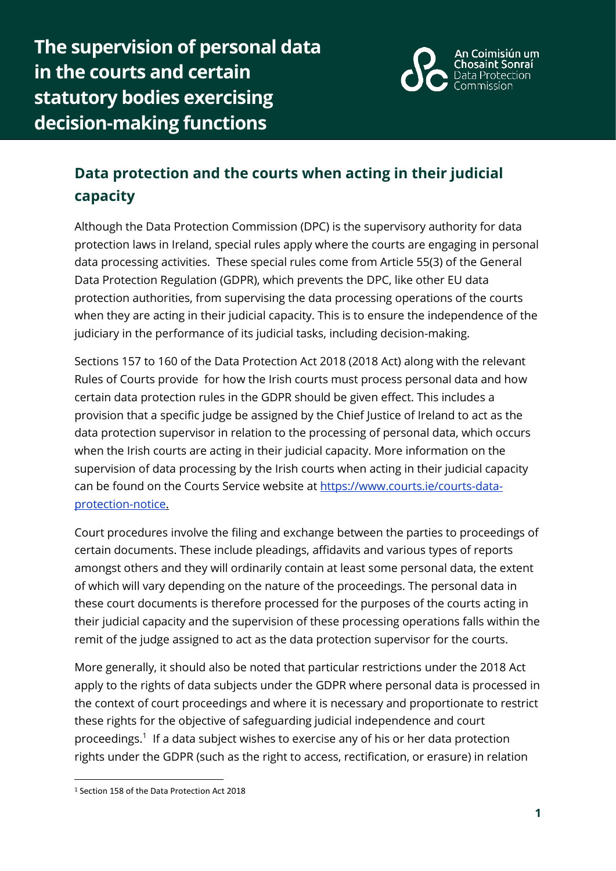**The supervision of personal data in the courts and certain statutory bodies exercising decision-making functions**



## **Data protection and the courts when acting in their judicial capacity**

Although the Data Protection Commission (DPC) is the supervisory authority for data protection laws in Ireland, special rules apply where the courts are engaging in personal data processing activities. These special rules come from Article 55(3) of the General Data Protection Regulation (GDPR), which prevents the DPC, like other EU data protection authorities, from supervising the data processing operations of the courts when they are acting in their judicial capacity. This is to ensure the independence of the judiciary in the performance of its judicial tasks, including decision-making.

Sections 157 to 160 of the Data Protection Act 2018 (2018 Act) along with the relevant Rules of Courts provide for how the Irish courts must process personal data and how certain data protection rules in the GDPR should be given effect. This includes a provision that a specific judge be assigned by the Chief Justice of Ireland to act as the data protection supervisor in relation to the processing of personal data, which occurs when the Irish courts are acting in their judicial capacity. More information on the supervision of data processing by the Irish courts when acting in their judicial capacity can be found on the Courts Service website at [https://www.courts.ie/courts-data](https://www.courts.ie/courts-data-protection-notice)[protection-notice.](https://www.courts.ie/courts-data-protection-notice)

Court procedures involve the filing and exchange between the parties to proceedings of certain documents. These include pleadings, affidavits and various types of reports amongst others and they will ordinarily contain at least some personal data, the extent of which will vary depending on the nature of the proceedings. The personal data in these court documents is therefore processed for the purposes of the courts acting in their judicial capacity and the supervision of these processing operations falls within the remit of the judge assigned to act as the data protection supervisor for the courts.

More generally, it should also be noted that particular restrictions under the 2018 Act apply to the rights of data subjects under the GDPR where personal data is processed in the context of court proceedings and where it is necessary and proportionate to restrict these rights for the objective of safeguarding judicial independence and court proceedings.<sup>1</sup> If a data subject wishes to exercise any of his or her data protection rights under the GDPR (such as the right to access, rectification, or erasure) in relation

1

<sup>1</sup> Section 158 of the Data Protection Act 2018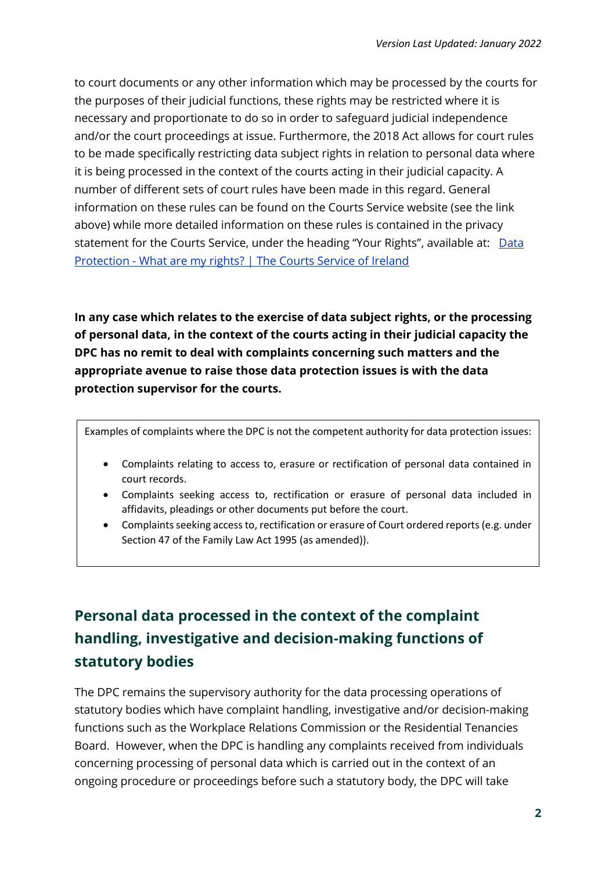to court documents or any other information which may be processed by the courts for the purposes of their judicial functions, these rights may be restricted where it is necessary and proportionate to do so in order to safeguard judicial independence and/or the court proceedings at issue. Furthermore, the 2018 Act allows for court rules to be made specifically restricting data subject rights in relation to personal data where it is being processed in the context of the courts acting in their judicial capacity. A number of different sets of court rules have been made in this regard. General information on these rules can be found on the Courts Service website (see the link above) while more detailed information on these rules is contained in the privacy statement for the Courts Service, under the heading "Your Rights", available at: [Data](https://www.courts.ie/data-protection-what-are-my-rights)  Protection - [What are my rights? | The Courts Service of Ireland](https://www.courts.ie/data-protection-what-are-my-rights)

**In any case which relates to the exercise of data subject rights, or the processing of personal data, in the context of the courts acting in their judicial capacity the DPC has no remit to deal with complaints concerning such matters and the appropriate avenue to raise those data protection issues is with the data protection supervisor for the courts.**

Examples of complaints where the DPC is not the competent authority for data protection issues:

- Complaints relating to access to, erasure or rectification of personal data contained in court records.
- Complaints seeking access to, rectification or erasure of personal data included in affidavits, pleadings or other documents put before the court.
- Complaints seeking access to, rectification or erasure of Court ordered reports (e.g. under Section 47 of the Family Law Act 1995 (as amended)).

## **Personal data processed in the context of the complaint handling, investigative and decision-making functions of statutory bodies**

The DPC remains the supervisory authority for the data processing operations of statutory bodies which have complaint handling, investigative and/or decision-making functions such as the Workplace Relations Commission or the Residential Tenancies Board. However, when the DPC is handling any complaints received from individuals concerning processing of personal data which is carried out in the context of an ongoing procedure or proceedings before such a statutory body, the DPC will take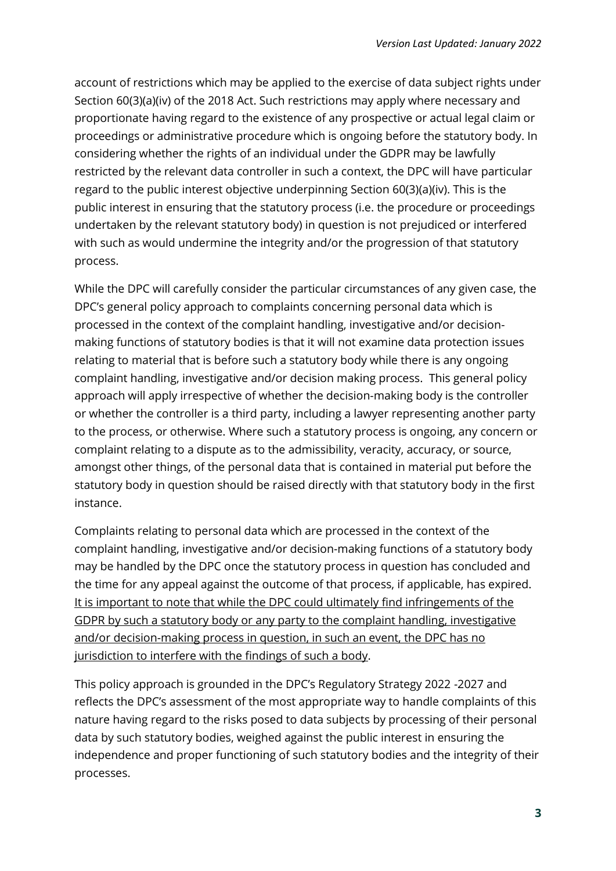account of restrictions which may be applied to the exercise of data subject rights under Section 60(3)(a)(iv) of the 2018 Act. Such restrictions may apply where necessary and proportionate having regard to the existence of any prospective or actual legal claim or proceedings or administrative procedure which is ongoing before the statutory body. In considering whether the rights of an individual under the GDPR may be lawfully restricted by the relevant data controller in such a context, the DPC will have particular regard to the public interest objective underpinning Section 60(3)(a)(iv). This is the public interest in ensuring that the statutory process (i.e. the procedure or proceedings undertaken by the relevant statutory body) in question is not prejudiced or interfered with such as would undermine the integrity and/or the progression of that statutory process.

While the DPC will carefully consider the particular circumstances of any given case, the DPC's general policy approach to complaints concerning personal data which is processed in the context of the complaint handling, investigative and/or decisionmaking functions of statutory bodies is that it will not examine data protection issues relating to material that is before such a statutory body while there is any ongoing complaint handling, investigative and/or decision making process. This general policy approach will apply irrespective of whether the decision-making body is the controller or whether the controller is a third party, including a lawyer representing another party to the process, or otherwise. Where such a statutory process is ongoing, any concern or complaint relating to a dispute as to the admissibility, veracity, accuracy, or source, amongst other things, of the personal data that is contained in material put before the statutory body in question should be raised directly with that statutory body in the first instance.

Complaints relating to personal data which are processed in the context of the complaint handling, investigative and/or decision-making functions of a statutory body may be handled by the DPC once the statutory process in question has concluded and the time for any appeal against the outcome of that process, if applicable, has expired. It is important to note that while the DPC could ultimately find infringements of the GDPR by such a statutory body or any party to the complaint handling, investigative and/or decision-making process in question, in such an event, the DPC has no jurisdiction to interfere with the findings of such a body.

This policy approach is grounded in the DPC's Regulatory Strategy 2022 -2027 and reflects the DPC's assessment of the most appropriate way to handle complaints of this nature having regard to the risks posed to data subjects by processing of their personal data by such statutory bodies, weighed against the public interest in ensuring the independence and proper functioning of such statutory bodies and the integrity of their processes.